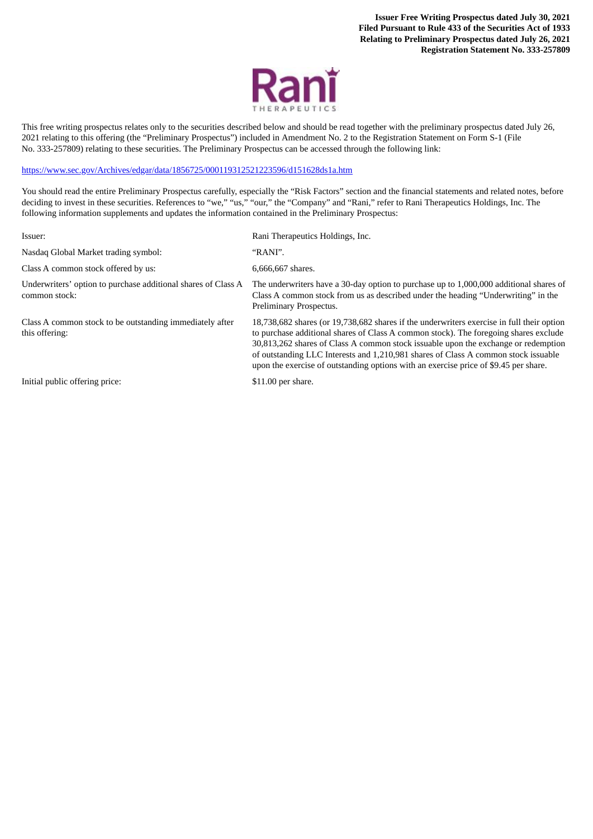**Issuer Free Writing Prospectus dated July 30, 2021 Filed Pursuant to Rule 433 of the Securities Act of 1933 Relating to Preliminary Prospectus dated July 26, 2021 Registration Statement No. 333-257809**



This free writing prospectus relates only to the securities described below and should be read together with the preliminary prospectus dated July 26, 2021 relating to this offering (the "Preliminary Prospectus") included in Amendment No. 2 to the Registration Statement on Form S-1 (File No. 333-257809) relating to these securities. The Preliminary Prospectus can be accessed through the following link:

[https://www.sec.gov/Archives/edgar/data/1856725/000119312521223596/d151628ds1a.htm](http://www.sec.gov/Archives/edgar/data/1856725/000119312521223596/d151628ds1a.htm)

You should read the entire Preliminary Prospectus carefully, especially the "Risk Factors" section and the financial statements and related notes, before deciding to invest in these securities. References to "we," "us," "our," the "Company" and "Rani," refer to Rani Therapeutics Holdings, Inc. The following information supplements and updates the information contained in the Preliminary Prospectus:

| Issuer:                                                                        | Rani Therapeutics Holdings, Inc.                                                                                                                                                                                                                                                                                                                                                                                                                       |
|--------------------------------------------------------------------------------|--------------------------------------------------------------------------------------------------------------------------------------------------------------------------------------------------------------------------------------------------------------------------------------------------------------------------------------------------------------------------------------------------------------------------------------------------------|
| Nasdaq Global Market trading symbol:                                           | "RANI".                                                                                                                                                                                                                                                                                                                                                                                                                                                |
| Class A common stock offered by us:                                            | 6,666,667 shares.                                                                                                                                                                                                                                                                                                                                                                                                                                      |
| Underwriters' option to purchase additional shares of Class A<br>common stock: | The underwriters have a 30-day option to purchase up to 1,000,000 additional shares of<br>Class A common stock from us as described under the heading "Underwriting" in the<br>Preliminary Prospectus.                                                                                                                                                                                                                                                 |
| Class A common stock to be outstanding immediately after<br>this offering:     | 18,738,682 shares (or 19,738,682 shares if the underwriters exercise in full their option<br>to purchase additional shares of Class A common stock). The foregoing shares exclude<br>30,813,262 shares of Class A common stock is suable upon the exchange or redemption<br>of outstanding LLC Interests and 1,210,981 shares of Class A common stock issuable<br>upon the exercise of outstanding options with an exercise price of \$9.45 per share. |
| Initial public offering price:                                                 | \$11.00 per share.                                                                                                                                                                                                                                                                                                                                                                                                                                     |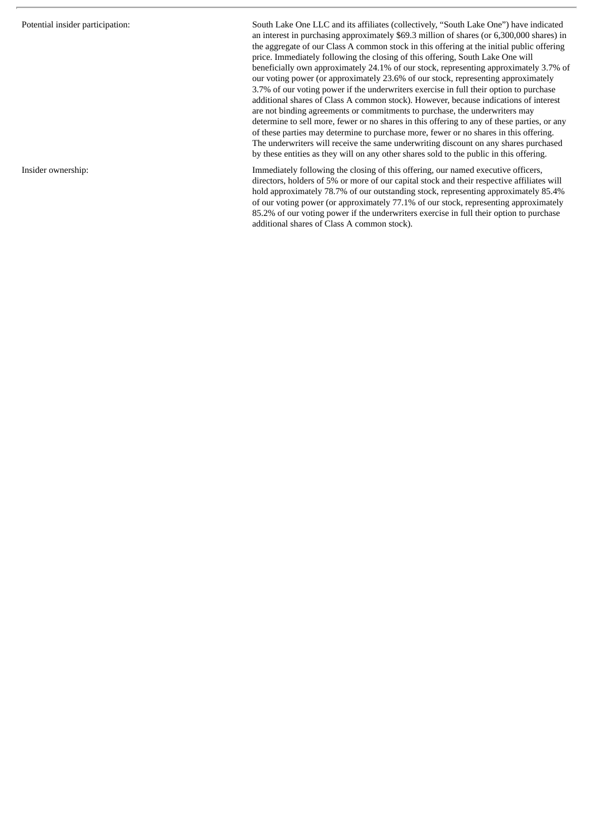Potential insider participation: South Lake One LLC and its affiliates (collectively, "South Lake One") have indicated an interest in purchasing approximately \$69.3 million of shares (or 6,300,000 shares) in the aggregate of our Class A common stock in this offering at the initial public offering price. Immediately following the closing of this offering, South Lake One will beneficially own approximately 24.1% of our stock, representing approximately 3.7% of our voting power (or approximately 23.6% of our stock, representing approximately 3.7% of our voting power if the underwriters exercise in full their option to purchase additional shares of Class A common stock). However, because indications of interest are not binding agreements or commitments to purchase, the underwriters may determine to sell more, fewer or no shares in this offering to any of these parties, or any of these parties may determine to purchase more, fewer or no shares in this offering. The underwriters will receive the same underwriting discount on any shares purchased by these entities as they will on any other shares sold to the public in this offering.

Insider ownership: Immediately following the closing of this offering, our named executive officers, directors, holders of 5% or more of our capital stock and their respective affiliates will hold approximately 78.7% of our outstanding stock, representing approximately 85.4% of our voting power (or approximately 77.1% of our stock, representing approximately 85.2% of our voting power if the underwriters exercise in full their option to purchase additional shares of Class A common stock).